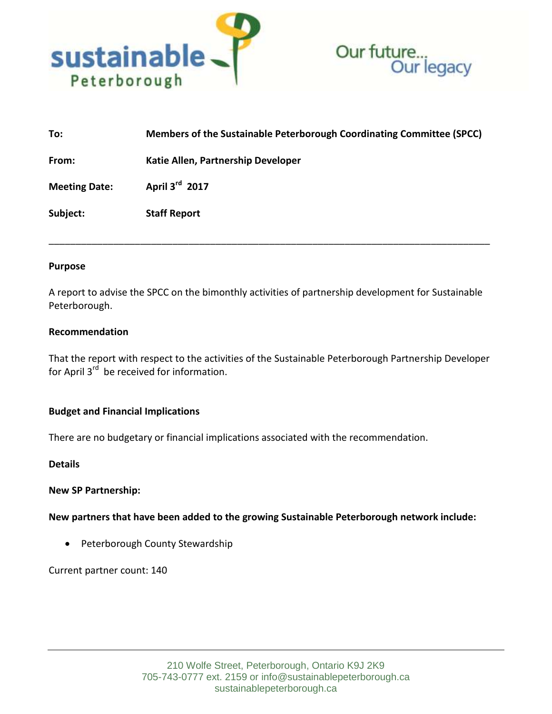



| To:                  | Members of the Sustainable Peterborough Coordinating Committee (SPCC) |
|----------------------|-----------------------------------------------------------------------|
| From:                | Katie Allen, Partnership Developer                                    |
| <b>Meeting Date:</b> | April 3rd 2017                                                        |
| Subject:             | <b>Staff Report</b>                                                   |
|                      |                                                                       |

### **Purpose**

A report to advise the SPCC on the bimonthly activities of partnership development for Sustainable Peterborough.

### **Recommendation**

That the report with respect to the activities of the Sustainable Peterborough Partnership Developer for April  $3^{rd}$  be received for information.

## **Budget and Financial Implications**

There are no budgetary or financial implications associated with the recommendation.

**Details**

#### **New SP Partnership:**

**New partners that have been added to the growing Sustainable Peterborough network include:**

• Peterborough County Stewardship

Current partner count: 140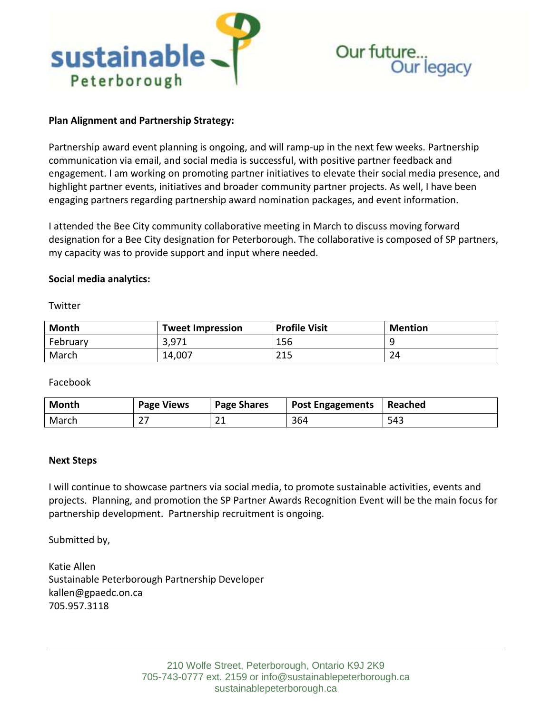

# **Plan Alignment and Partnership Strategy:**

Partnership award event planning is ongoing, and will ramp-up in the next few weeks. Partnership communication via email, and social media is successful, with positive partner feedback and engagement. I am working on promoting partner initiatives to elevate their social media presence, and highlight partner events, initiatives and broader community partner projects. As well, I have been engaging partners regarding partnership award nomination packages, and event information.

I attended the Bee City community collaborative meeting in March to discuss moving forward designation for a Bee City designation for Peterborough. The collaborative is composed of SP partners, my capacity was to provide support and input where needed.

## **Social media analytics:**

**Twitter** 

| <b>Month</b> | <b>Tweet Impression</b> | <b>Profile Visit</b> | <b>Mention</b> |
|--------------|-------------------------|----------------------|----------------|
| February     | 3,971                   | 156                  |                |
| March        | 14,007                  | 215                  | 24             |

Facebook

| <b>Month</b> | <b>Page Views</b> | <b>Page Shares</b> | <b>Post Engagements</b> | Reached |
|--------------|-------------------|--------------------|-------------------------|---------|
| March        |                   | ົາ 1<br>ᅀ          | 364                     | 543     |

## **Next Steps**

I will continue to showcase partners via social media, to promote sustainable activities, events and projects. Planning, and promotion the SP Partner Awards Recognition Event will be the main focus for partnership development. Partnership recruitment is ongoing.

Submitted by,

Katie Allen Sustainable Peterborough Partnership Developer kallen@gpaedc.on.ca 705.957.3118